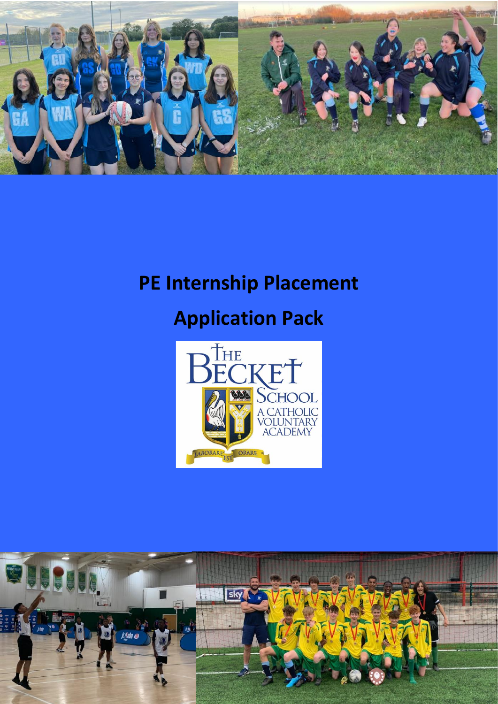

# **PE Internship Placement**

# **Application Pack**



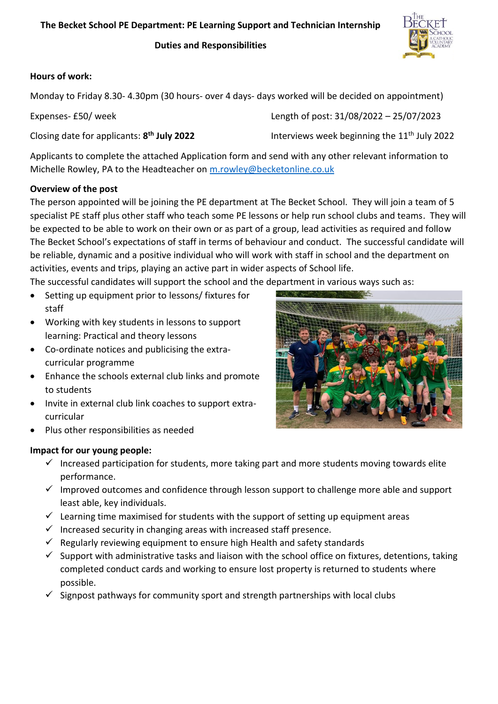**Duties and Responsibilities**



# **Hours of work:**

Monday to Friday 8.30- 4.30pm (30 hours- over 4 days- days worked will be decided on appointment)

| Expenses- £50/ week                                    | Length of post: 31/08/2022 - 25/07/2023                  |
|--------------------------------------------------------|----------------------------------------------------------|
| Closing date for applicants: 8 <sup>th</sup> July 2022 | Interviews week beginning the 11 <sup>th</sup> July 2022 |

Applicants to complete the attached Application form and send with any other relevant information to Michelle Rowley, PA to the Headteacher on [m.rowley@becketonline.co.uk](mailto:m.rowley@becketonline.co.uk)

# **Overview of the post**

The person appointed will be joining the PE department at The Becket School. They will join a team of 5 specialist PE staff plus other staff who teach some PE lessons or help run school clubs and teams. They will be expected to be able to work on their own or as part of a group, lead activities as required and follow The Becket School's expectations of staff in terms of behaviour and conduct. The successful candidate will be reliable, dynamic and a positive individual who will work with staff in school and the department on activities, events and trips, playing an active part in wider aspects of School life.

The successful candidates will support the school and the department in various ways such as:

- Setting up equipment prior to lessons/ fixtures for staff
- Working with key students in lessons to support learning: Practical and theory lessons
- Co-ordinate notices and publicising the extracurricular programme
- Enhance the schools external club links and promote to students
- Invite in external club link coaches to support extracurricular



Plus other responsibilities as needed

# **Impact for our young people:**

- $\checkmark$  Increased participation for students, more taking part and more students moving towards elite performance.
- $\checkmark$  Improved outcomes and confidence through lesson support to challenge more able and support least able, key individuals.
- $\checkmark$  Learning time maximised for students with the support of setting up equipment areas
- $\checkmark$  Increased security in changing areas with increased staff presence.
- $\checkmark$  Regularly reviewing equipment to ensure high Health and safety standards
- $\checkmark$  Support with administrative tasks and liaison with the school office on fixtures, detentions, taking completed conduct cards and working to ensure lost property is returned to students where possible.
- $\checkmark$  Signpost pathways for community sport and strength partnerships with local clubs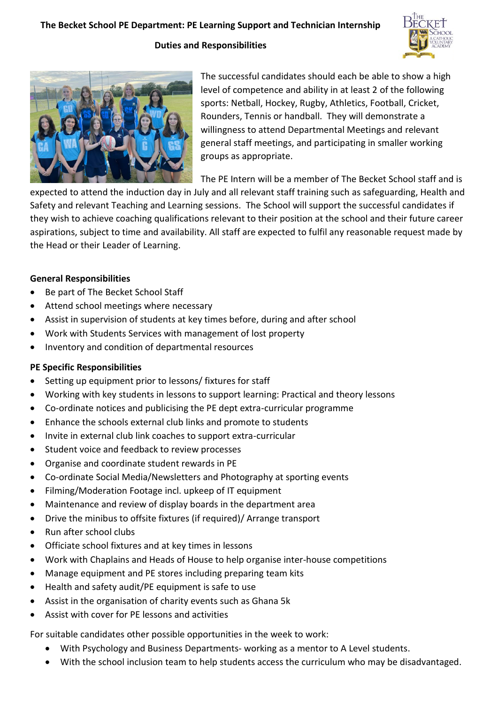#### **Duties and Responsibilities**





The successful candidates should each be able to show a high level of competence and ability in at least 2 of the following sports: Netball, Hockey, Rugby, Athletics, Football, Cricket, Rounders, Tennis or handball. They will demonstrate a willingness to attend Departmental Meetings and relevant general staff meetings, and participating in smaller working groups as appropriate.

The PE Intern will be a member of The Becket School staff and is

expected to attend the induction day in July and all relevant staff training such as safeguarding, Health and Safety and relevant Teaching and Learning sessions. The School will support the successful candidates if they wish to achieve coaching qualifications relevant to their position at the school and their future career aspirations, subject to time and availability. All staff are expected to fulfil any reasonable request made by the Head or their Leader of Learning.

#### **General Responsibilities**

- Be part of The Becket School Staff
- Attend school meetings where necessary
- Assist in supervision of students at key times before, during and after school
- Work with Students Services with management of lost property
- Inventory and condition of departmental resources

#### **PE Specific Responsibilities**

- Setting up equipment prior to lessons/ fixtures for staff
- Working with key students in lessons to support learning: Practical and theory lessons
- Co-ordinate notices and publicising the PE dept extra-curricular programme
- Enhance the schools external club links and promote to students
- Invite in external club link coaches to support extra-curricular
- Student voice and feedback to review processes
- Organise and coordinate student rewards in PE
- Co-ordinate Social Media/Newsletters and Photography at sporting events
- Filming/Moderation Footage incl. upkeep of IT equipment
- Maintenance and review of display boards in the department area
- Drive the minibus to offsite fixtures (if required)/ Arrange transport
- Run after school clubs
- Officiate school fixtures and at key times in lessons
- Work with Chaplains and Heads of House to help organise inter-house competitions
- Manage equipment and PE stores including preparing team kits
- Health and safety audit/PE equipment is safe to use
- Assist in the organisation of charity events such as Ghana 5k
- Assist with cover for PE lessons and activities

For suitable candidates other possible opportunities in the week to work:

- With Psychology and Business Departments- working as a mentor to A Level students.
- With the school inclusion team to help students access the curriculum who may be disadvantaged.